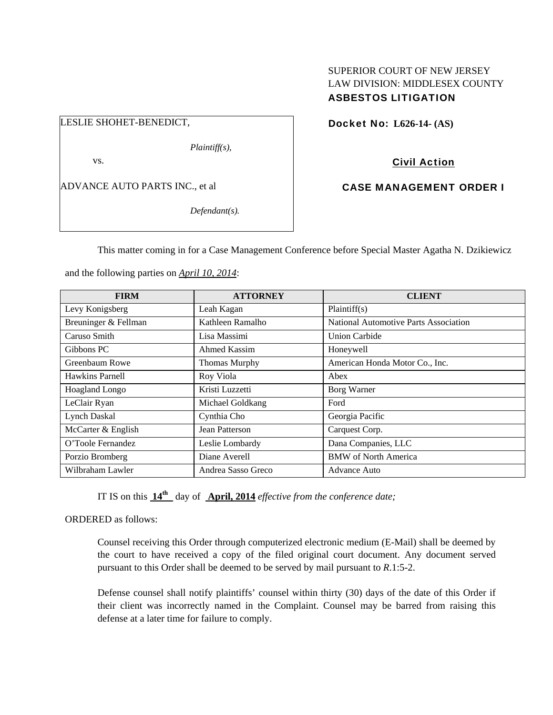### SUPERIOR COURT OF NEW JERSEY LAW DIVISION: MIDDLESEX COUNTY ASBESTOS LITIGATION

LESLIE SHOHET-BENEDICT,

*Plaintiff(s),* 

vs.

ADVANCE AUTO PARTS INC., et al

*Defendant(s).* 

Docket No: **L626-14- (AS)** 

Civil Action

CASE MANAGEMENT ORDER I

This matter coming in for a Case Management Conference before Special Master Agatha N. Dzikiewicz

and the following parties on *April 10, 2014*:

| <b>FIRM</b>            | <b>ATTORNEY</b>    | <b>CLIENT</b>                         |
|------------------------|--------------------|---------------------------------------|
| Levy Konigsberg        | Leah Kagan         | Plaintiff(s)                          |
| Breuninger & Fellman   | Kathleen Ramalho   | National Automotive Parts Association |
| Caruso Smith           | Lisa Massimi       | <b>Union Carbide</b>                  |
| Gibbons PC             | Ahmed Kassim       | Honeywell                             |
| Greenbaum Rowe         | Thomas Murphy      | American Honda Motor Co., Inc.        |
| <b>Hawkins Parnell</b> | Roy Viola          | Abex                                  |
| Hoagland Longo         | Kristi Luzzetti    | Borg Warner                           |
| LeClair Ryan           | Michael Goldkang   | Ford                                  |
| Lynch Daskal           | Cynthia Cho        | Georgia Pacific                       |
| McCarter & English     | Jean Patterson     | Carquest Corp.                        |
| O'Toole Fernandez      | Leslie Lombardy    | Dana Companies, LLC                   |
| Porzio Bromberg        | Diane Averell      | <b>BMW</b> of North America           |
| Wilbraham Lawler       | Andrea Sasso Greco | <b>Advance Auto</b>                   |

IT IS on this **14th** day of **April, 2014** *effective from the conference date;*

ORDERED as follows:

Counsel receiving this Order through computerized electronic medium (E-Mail) shall be deemed by the court to have received a copy of the filed original court document. Any document served pursuant to this Order shall be deemed to be served by mail pursuant to *R*.1:5-2.

Defense counsel shall notify plaintiffs' counsel within thirty (30) days of the date of this Order if their client was incorrectly named in the Complaint. Counsel may be barred from raising this defense at a later time for failure to comply.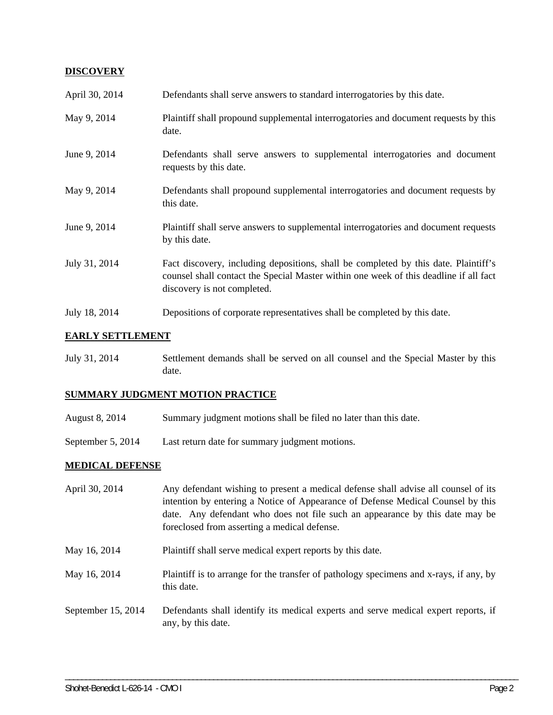### **DISCOVERY**

| April 30, 2014 | Defendants shall serve answers to standard interrogatories by this date.                                                                                                                                    |
|----------------|-------------------------------------------------------------------------------------------------------------------------------------------------------------------------------------------------------------|
| May 9, 2014    | Plaintiff shall propound supplemental interrogatories and document requests by this<br>date.                                                                                                                |
| June 9, 2014   | Defendants shall serve answers to supplemental interrogatories and document<br>requests by this date.                                                                                                       |
| May 9, 2014    | Defendants shall propound supplemental interrogatories and document requests by<br>this date.                                                                                                               |
| June 9, 2014   | Plaintiff shall serve answers to supplemental interrogatories and document requests<br>by this date.                                                                                                        |
| July 31, 2014  | Fact discovery, including depositions, shall be completed by this date. Plaintiff's<br>counsel shall contact the Special Master within one week of this deadline if all fact<br>discovery is not completed. |
| July 18, 2014  | Depositions of corporate representatives shall be completed by this date.                                                                                                                                   |

# **EARLY SETTLEMENT**

July 31, 2014 Settlement demands shall be served on all counsel and the Special Master by this date.

# **SUMMARY JUDGMENT MOTION PRACTICE**

- August 8, 2014 Summary judgment motions shall be filed no later than this date.
- September 5, 2014 Last return date for summary judgment motions.

### **MEDICAL DEFENSE**

| April 30, 2014     | Any defendant wishing to present a medical defense shall advise all counsel of its<br>intention by entering a Notice of Appearance of Defense Medical Counsel by this<br>date. Any defendant who does not file such an appearance by this date may be<br>foreclosed from asserting a medical defense. |
|--------------------|-------------------------------------------------------------------------------------------------------------------------------------------------------------------------------------------------------------------------------------------------------------------------------------------------------|
| May 16, 2014       | Plaintiff shall serve medical expert reports by this date.                                                                                                                                                                                                                                            |
| May 16, 2014       | Plaintiff is to arrange for the transfer of pathology specimens and x-rays, if any, by<br>this date.                                                                                                                                                                                                  |
| September 15, 2014 | Defendants shall identify its medical experts and serve medical expert reports, if<br>any, by this date.                                                                                                                                                                                              |

\_\_\_\_\_\_\_\_\_\_\_\_\_\_\_\_\_\_\_\_\_\_\_\_\_\_\_\_\_\_\_\_\_\_\_\_\_\_\_\_\_\_\_\_\_\_\_\_\_\_\_\_\_\_\_\_\_\_\_\_\_\_\_\_\_\_\_\_\_\_\_\_\_\_\_\_\_\_\_\_\_\_\_\_\_\_\_\_\_\_\_\_\_\_\_\_\_\_\_\_\_\_\_\_\_\_\_\_\_\_